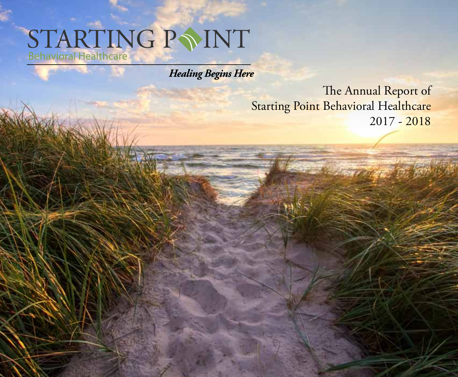# STARTING P SINT

**Healing Begins Here** 

The Annual Report of **Starting Point Behavioral Healthcare** 2017 - 2018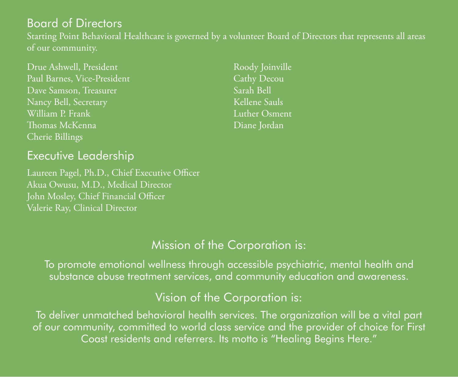## Board of Directors

Starting Point Behavioral Healthcare is governed by a volunteer Board of Directors that represents all areas of our community.

Drue Ashwell, President Paul Barnes, Vice-President Dave Samson, Treasurer Nancy Bell, Secretary William P. Frank Thomas McKenna Cherie Billings

## Executive Leadership

Laureen Pagel, Ph.D., Chief Executive Officer Akua Owusu, M.D., Medical Director John Mosley, Chief Financial Officer Valerie Ray, Clinical Director

Roody Joinville Cathy Decou Sarah Bell Kellene Sauls Luther Osment Diane Jordan

## Mission of the Corporation is:

To promote emotional wellness through accessible psychiatric, mental health and substance abuse treatment services, and community education and awareness.

## Vision of the Corporation is:

To deliver unmatched behavioral health services. The organization will be a vital part of our community, committed to world class service and the provider of choice for First Coast residents and referrers. Its motto is "Healing Begins Here."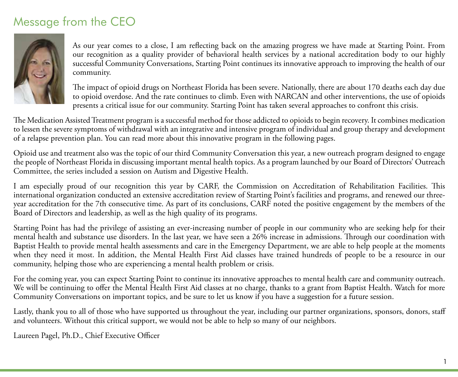## Message from the CEO



As our year comes to a close, I am reflecting back on the amazing progress we have made at Starting Point. From our recognition as a quality provider of behavioral health services by a national accreditation body to our highly successful Community Conversations, Starting Point continues its innovative approach to improving the health of our community.

The impact of opioid drugs on Northeast Florida has been severe. Nationally, there are about 170 deaths each day due to opioid overdose. And the rate continues to climb. Even with NARCAN and other interventions, the use of opioids presents a critical issue for our community. Starting Point has taken several approaches to confront this crisis.

The Medication Assisted Treatment program is a successful method for those addicted to opioids to begin recovery. It combines medication to lessen the severe symptoms of withdrawal with an integrative and intensive program of individual and group therapy and development of a relapse prevention plan. You can read more about this innovative program in the following pages.

Opioid use and treatment also was the topic of our third Community Conversation this year, a new outreach program designed to engage the people of Northeast Florida in discussing important mental health topics. As a program launched by our Board of Directors' Outreach Committee, the series included a session on Autism and Digestive Health.

I am especially proud of our recognition this year by CARF, the Commission on Accreditation of Rehabilitation Facilities. This international organization conducted an extensive accreditation review of Starting Point's facilities and programs, and renewed our threeyear accreditation for the 7th consecutive time. As part of its conclusions, CARF noted the positive engagement by the members of the Board of Directors and leadership, as well as the high quality of its programs.

Starting Point has had the privilege of assisting an ever-increasing number of people in our community who are seeking help for their mental health and substance use disorders. In the last year, we have seen a 26% increase in admissions. Through our coordination with Baptist Health to provide mental health assessments and care in the Emergency Department, we are able to help people at the moments when they need it most. In addition, the Mental Health First Aid classes have trained hundreds of people to be a resource in our community, helping those who are experiencing a mental health problem or crisis.

For the coming year, you can expect Starting Point to continue its innovative approaches to mental health care and community outreach. We will be continuing to offer the Mental Health First Aid classes at no charge, thanks to a grant from Baptist Health. Watch for more Community Conversations on important topics, and be sure to let us know if you have a suggestion for a future session.

Lastly, thank you to all of those who have supported us throughout the year, including our partner organizations, sponsors, donors, staff and volunteers. Without this critical support, we would not be able to help so many of our neighbors.

Laureen Pagel, Ph.D., Chief Executive Officer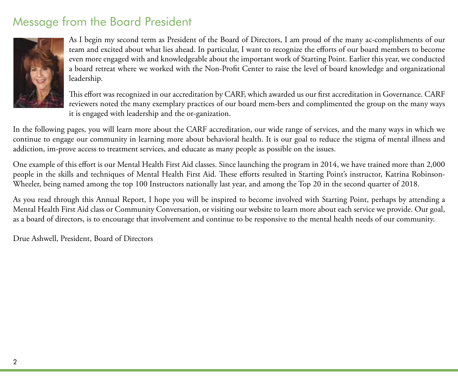## Message from the Board President



As I begin my second term as President of the Board of Directors, I am proud of the many ac-complishments of our team and excited about what lies ahead. In particular, I want to recognize the efforts of our board members to become even more engaged with and knowledgeable about the important work of Starting Point. Earlier this year, we conducted a board retreat where we worked with the Non-Profit Center to raise the level of board knowledge and organizational leadership.

This effort was recognized in our accreditation by CARF, which awarded us our first accreditation in Governance. CARF reviewers noted the many exemplary practices of our board mem-bers and complimented the group on the many ways it is engaged with leadership and the or-ganization.

In the following pages, you will learn more about the CARF accreditation, our wide range of services, and the many ways in which we continue to engage our community in learning more about behavioral health. It is our goal to reduce the stigma of mental illness and addiction, im-prove access to treatment services, and educate as many people as possible on the issues.

One example of this effort is our Mental Health First Aid classes. Since launching the program in 2014, we have trained more than 2,000 people in the skills and techniques of Mental Health First Aid. These efforts resulted in Starting Point's instructor, Katrina Robinson-Wheeler, being named among the top 100 Instructors nationally last year, and among the Top 20 in the second quarter of 2018.

As you read through this Annual Report, I hope you will be inspired to become involved with Starting Point, perhaps by attending a Mental Health First Aid class or Community Conversation, or visiting our website to learn more about each service we provide. Our goal, as a board of directors, is to encourage that involvement and continue to be responsive to the mental health needs of our community.

Drue Ashwell, President, Board of Directors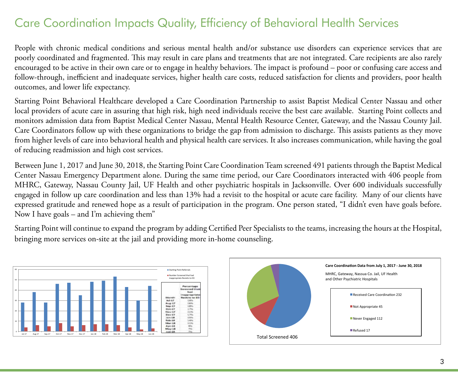## Care Coordination Impacts Quality, Efficiency of Behavioral Health Services

People with chronic medical conditions and serious mental health and/or substance use disorders can experience services that are poorly coordinated and fragmented. This may result in care plans and treatments that are not integrated. Care recipients are also rarely encouraged to be active in their own care or to engage in healthy behaviors. The impact is profound – poor or confusing care access and follow-through, inefficient and inadequate services, higher health care costs, reduced satisfaction for clients and providers, poor health outcomes, and lower life expectancy.

Starting Point Behavioral Healthcare developed a Care Coordination Partnership to assist Baptist Medical Center Nassau and other local providers of acute care in assuring that high risk, high need individuals receive the best care available. Starting Point collects and monitors admission data from Baptist Medical Center Nassau, Mental Health Resource Center, Gateway, and the Nassau County Jail. Care Coordinators follow up with these organizations to bridge the gap from admission to discharge. This assists patients as they move from higher levels of care into behavioral health and physical health care services. It also increases communication, while having the goal of reducing readmission and high cost services.

Between June 1, 2017 and June 30, 2018, the Starting Point Care Coordination Team screened 491 patients through the Baptist Medical Center Nassau Emergency Department alone. During the same time period, our Care Coordinators interacted with 406 people from MHRC, Gateway, Nassau County Jail, UF Health and other psychiatric hospitals in Jacksonville. Over 600 individuals successfully engaged in follow up care coordination and less than 13% had a revisit to the hospital or acute care facility. Many of our clients have expressed gratitude and renewed hope as a result of participation in the program. One person stated, "I didn't even have goals before. Now I have goals – and I'm achieving them"

Starting Point will continue to expand the program by adding Certified Peer Specialists to the teams, increasing the hours at the Hospital, bringing more services on-site at the jail and providing more in-home counseling.

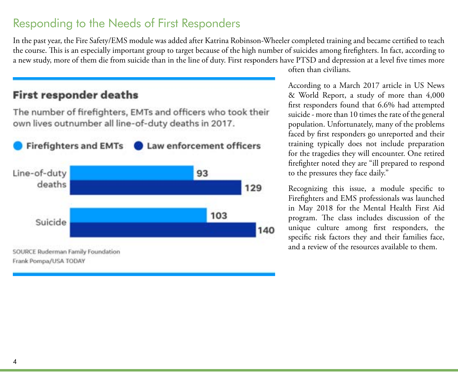## Responding to the Needs of First Responders

In the past year, the Fire Safety/EMS module was added after Katrina Robinson-Wheeler completed training and became certified to teach the course. This is an especially important group to target because of the high number of suicides among firefighters. In fact, according to a new study, more of them die from suicide than in the line of duty. First responders have PTSD and depression at a level five times more

#### **First responder deaths**

The number of firefighters, EMTs and officers who took their own lives outnumber all line-of-duty deaths in 2017.



often than civilians.

According to a March 2017 article in US News & World Report, a study of more than 4,000 first responders found that 6.6% had attempted suicide - more than 10 times the rate of the general population. Unfortunately, many of the problems faced by first responders go unreported and their training typically does not include preparation for the tragedies they will encounter. One retired firefighter noted they are "ill prepared to respond to the pressures they face daily."

Recognizing this issue, a module specific to Firefighters and EMS professionals was launched in May 2018 for the Mental Health First Aid program. The class includes discussion of the unique culture among first responders, the specific risk factors they and their families face, and a review of the resources available to them.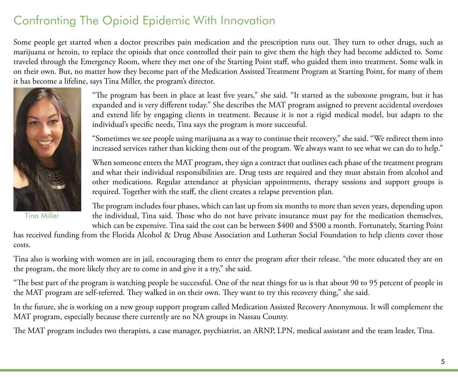## Confronting The Opioid Epidemic With Innovation

Some people get started when a doctor prescribes pain medication and the prescription runs out. They turn to other drugs, such as marijuana or heroin, to replace the opioids that once controlled their pain to give them the high they had become addicted to. Some traveled through the Emergency Room, where they met one of the Starting Point staff, who guided them into treatment. Some walk in on their own. But, no matter how they become part of the Medication Assisted Treatment Program at Starting Point, for many of them it has become a lifeline, says Tina Miller, the program's director.



Tina Miller

"The program has been in place at least five years," she said. "It started as the suboxone program, but it has expanded and is very different today." She describes the MAT program assigned to prevent accidental overdoses and extend life by engaging clients in treatment. Because it is not a rigid medical model, but adapts to the individual's specific needs, Tina says the program is more successful.

"Sometimes we see people using marijuana as a way to continue their recovery," she said. "We redirect them into increased services rather than kicking them out of the program. We always want to see what we can do to help."

When someone enters the MAT program, they sign a contract that outlines each phase of the treatment program and what their individual responsibilities are. Drug tests are required and they must abstain from alcohol and other medications. Regular attendance at physician appointments, therapy sessions and support groups is required. Together with the staff, the client creates a relapse prevention plan.

The program includes four phases, which can last up from six months to more than seven years, depending upon the individual, Tina said. Those who do not have private insurance must pay for the medication themselves, which can be expensive. Tina said the cost can be between \$400 and \$500 a month. Fortunately, Starting Point

has received funding from the Florida Alcohol & Drug Abuse Association and Lutheran Social Foundation to help clients cover those costs.

Tina also is working with women are in jail, encouraging them to enter the program after their release. "the more educated they are on the program, the more likely they are to come in and give it a try," she said.

"The best part of the program is watching people be successful. One of the neat things for us is that about 90 to 95 percent of people in the MAT program are self-referred. They walked in on their own. They want to try this recovery thing," she said.

In the future, she is working on a new group support program called Medication Assisted Recovery Anonymous. It will complement the MAT program, especially because there currently are no NA groups in Nassau County.

The MAT program includes two therapists, a case manager, psychiatrist, an ARNP, LPN, medical assistant and the team leader, Tina.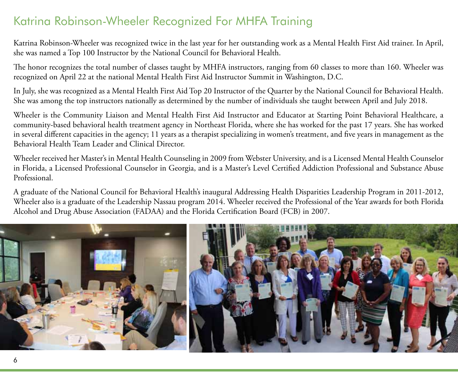## Katrina Robinson-Wheeler Recognized For MHFA Training

Katrina Robinson-Wheeler was recognized twice in the last year for her outstanding work as a Mental Health First Aid trainer. In April, she was named a Top 100 Instructor by the National Council for Behavioral Health.

The honor recognizes the total number of classes taught by MHFA instructors, ranging from 60 classes to more than 160. Wheeler was recognized on April 22 at the national Mental Health First Aid Instructor Summit in Washington, D.C.

In July, she was recognized as a Mental Health First Aid Top 20 Instructor of the Quarter by the National Council for Behavioral Health. She was among the top instructors nationally as determined by the number of individuals she taught between April and July 2018.

Wheeler is the Community Liaison and Mental Health First Aid Instructor and Educator at Starting Point Behavioral Healthcare, a community-based behavioral health treatment agency in Northeast Florida, where she has worked for the past 17 years. She has worked in several different capacities in the agency; 11 years as a therapist specializing in women's treatment, and five years in management as the Behavioral Health Team Leader and Clinical Director.

Wheeler received her Master's in Mental Health Counseling in 2009 from Webster University, and is a Licensed Mental Health Counselor in Florida, a Licensed Professional Counselor in Georgia, and is a Master's Level Certified Addiction Professional and Substance Abuse Professional.

A graduate of the National Council for Behavioral Health's inaugural Addressing Health Disparities Leadership Program in 2011-2012, Wheeler also is a graduate of the Leadership Nassau program 2014. Wheeler received the Professional of the Year awards for both Florida Alcohol and Drug Abuse Association (FADAA) and the Florida Certification Board (FCB) in 2007.

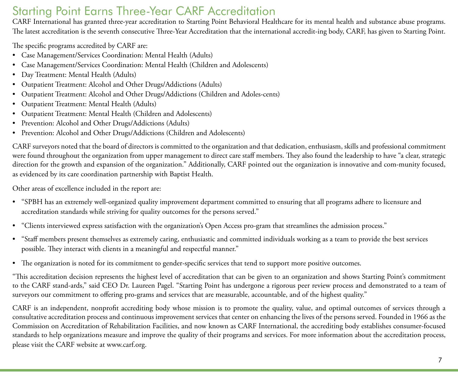## Starting Point Earns Three-Year CARF Accreditation

CARF International has granted three-year accreditation to Starting Point Behavioral Healthcare for its mental health and substance abuse programs. The latest accreditation is the seventh consecutive Three-Year Accreditation that the international accredit-ing body, CARF, has given to Starting Point.

The specific programs accredited by CARF are:

- • Case Management/Services Coordination: Mental Health (Adults)
- • Case Management/Services Coordination: Mental Health (Children and Adolescents)
- • Day Treatment: Mental Health (Adults)
- Outpatient Treatment: Alcohol and Other Drugs/Addictions (Adults)
- • Outpatient Treatment: Alcohol and Other Drugs/Addictions (Children and Adoles-cents)
- • Outpatient Treatment: Mental Health (Adults)
- • Outpatient Treatment: Mental Health (Children and Adolescents)
- • Prevention: Alcohol and Other Drugs/Addictions (Adults)
- • Prevention: Alcohol and Other Drugs/Addictions (Children and Adolescents)

CARF surveyors noted that the board of directors is committed to the organization and that dedication, enthusiasm, skills and professional commitment were found throughout the organization from upper management to direct care staff members. They also found the leadership to have "a clear, strategic direction for the growth and expansion of the organization." Additionally, CARF pointed out the organization is innovative and com-munity focused, as evidenced by its care coordination partnership with Baptist Health.

Other areas of excellence included in the report are:

- • "SPBH has an extremely well-organized quality improvement department committed to ensuring that all programs adhere to licensure and accreditation standards while striving for quality outcomes for the persons served."
- • "Clients interviewed express satisfaction with the organization's Open Access pro-gram that streamlines the admission process."
- • "Staff members present themselves as extremely caring, enthusiastic and committed individuals working as a team to provide the best services possible. They interact with clients in a meaningful and respectful manner."
- The organization is noted for its commitment to gender-specific services that tend to support more positive outcomes.

"This accreditation decision represents the highest level of accreditation that can be given to an organization and shows Starting Point's commitment to the CARF stand-ards," said CEO Dr. Laureen Pagel. "Starting Point has undergone a rigorous peer review process and demonstrated to a team of surveyors our commitment to offering pro-grams and services that are measurable, accountable, and of the highest quality."

CARF is an independent, nonprofit accrediting body whose mission is to promote the quality, value, and optimal outcomes of services through a consultative accreditation process and continuous improvement services that center on enhancing the lives of the persons served. Founded in 1966 as the Commission on Accreditation of Rehabilitation Facilities, and now known as CARF International, the accrediting body establishes consumer-focused standards to help organizations measure and improve the quality of their programs and services. For more information about the accreditation process, please visit the CARF website at www.carf.org.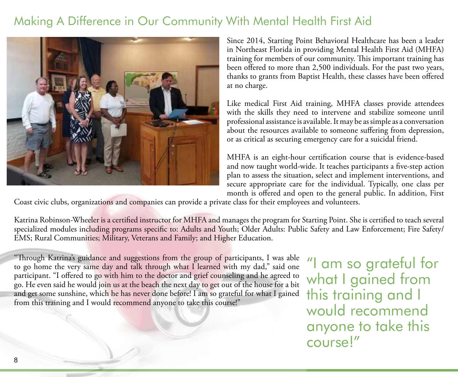## Making A Difference in Our Community With Mental Health First Aid



Since 2014, Starting Point Behavioral Healthcare has been a leader in Northeast Florida in providing Mental Health First Aid (MHFA) training for members of our community. This important training has been offered to more than 2,500 individuals. For the past two years, thanks to grants from Baptist Health, these classes have been offered at no charge.

Like medical First Aid training, MHFA classes provide attendees with the skills they need to intervene and stabilize someone until professional assistance is available. It may be as simple as a conversation about the resources available to someone suffering from depression, or as critical as securing emergency care for a suicidal friend.

MHFA is an eight-hour certification course that is evidence-based and now taught world-wide. It teaches participants a five-step action plan to assess the situation, select and implement interventions, and secure appropriate care for the individual. Typically, one class per month is offered and open to the general public. In addition, First

Coast civic clubs, organizations and companies can provide a private class for their employees and volunteers.

Katrina Robinson-Wheeler is a certified instructor for MHFA and manages the program for Starting Point. She is certified to teach several specialized modules including programs specific to: Adults and Youth; Older Adults: Public Safety and Law Enforcement; Fire Safety/ EMS; Rural Communities; Military, Veterans and Family; and Higher Education.

"Through Katrina's guidance and suggestions from the group of participants, I was able to go home the very same day and talk through what I learned with my dad," said one participant. "I offered to go with him to the doctor and grief counseling and he agreed to go. He even said he would join us at the beach the next day to get out of the house for a bit and get some sunshine, which he has never done before! I am so grateful for what I gained from this training and I would recommend anyone to take this course!"

"I am so grateful for what I gained from this training and I would recommend anyone to take this course!"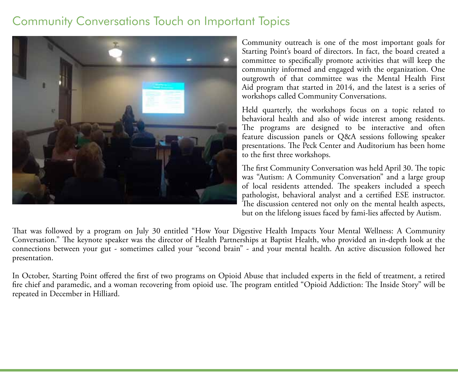## Community Conversations Touch on Important Topics



Community outreach is one of the most important goals for Starting Point's board of directors. In fact, the board created a committee to specifically promote activities that will keep the community informed and engaged with the organization. One outgrowth of that committee was the Mental Health First Aid program that started in 2014, and the latest is a series of workshops called Community Conversations.

Held quarterly, the workshops focus on a topic related to behavioral health and also of wide interest among residents. The programs are designed to be interactive and often feature discussion panels or Q&A sessions following speaker presentations. The Peck Center and Auditorium has been home to the first three workshops.

The first Community Conversation was held April 30. The topic was "Autism: A Community Conversation" and a large group of local residents attended. The speakers included a speech pathologist, behavioral analyst and a certified ESE instructor. The discussion centered not only on the mental health aspects, but on the lifelong issues faced by fami-lies affected by Autism.

That was followed by a program on July 30 entitled "How Your Digestive Health Impacts Your Mental Wellness: A Community Conversation." The keynote speaker was the director of Health Partnerships at Baptist Health, who provided an in-depth look at the connections between your gut - sometimes called your "second brain" - and your mental health. An active discussion followed her presentation.

In October, Starting Point offered the first of two programs on Opioid Abuse that included experts in the field of treatment, a retired fire chief and paramedic, and a woman recovering from opioid use. The program entitled "Opioid Addiction: The Inside Story" will be repeated in December in Hilliard.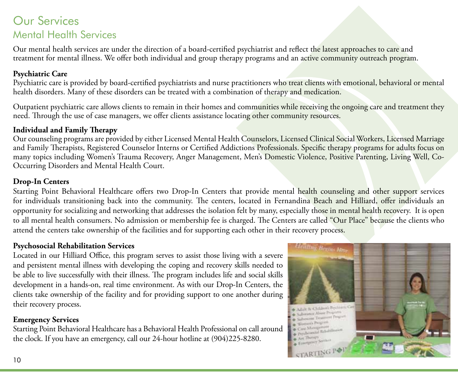### Our Services Mental Health Services

Our mental health services are under the direction of a board-certified psychiatrist and reflect the latest approaches to care and treatment for mental illness. We offer both individual and group therapy programs and an active community outreach program.

#### **Psychiatric Care**

Psychiatric care is provided by board-certified psychiatrists and nurse practitioners who treat clients with emotional, behavioral or mental health disorders. Many of these disorders can be treated with a combination of therapy and medication.

Outpatient psychiatric care allows clients to remain in their homes and communities while receiving the ongoing care and treatment they need. Through the use of case managers, we offer clients assistance locating other community resources.

#### **Individual and Family Therapy**

Our counseling programs are provided by either Licensed Mental Health Counselors, Licensed Clinical Social Workers, Licensed Marriage and Family Therapists, Registered Counselor Interns or Certified Addictions Professionals. Specific therapy programs for adults focus on many topics including Women's Trauma Recovery, Anger Management, Men's Domestic Violence, Positive Parenting, Living Well, Co-Occurring Disorders and Mental Health Court.

#### **Drop-In Centers**

Starting Point Behavioral Healthcare offers two Drop-In Centers that provide mental health counseling and other support services for individuals transitioning back into the community. The centers, located in Fernandina Beach and Hilliard, offer individuals an opportunity for socializing and networking that addresses the isolation felt by many, especially those in mental health recovery. It is open to all mental health consumers. No admission or membership fee is charged. The Centers are called "Our Place" because the clients who attend the centers take ownership of the facilities and for supporting each other in their recovery process.

#### **Psychosocial Rehabilitation Services**

Located in our Hilliard Office, this program serves to assist those living with a severe and persistent mental illness with developing the coping and recovery skills needed to be able to live successfully with their illness. The program includes life and social skills development in a hands-on, real time environment. As with our Drop-In Centers, the clients take ownership of the facility and for providing support to one another during their recovery process.

#### **Emergency Services**

Starting Point Behavioral Healthcare has a Behavioral Health Professional on call around the clock. If you have an emergency, call our 24-hour hotline at (904)225-8280.

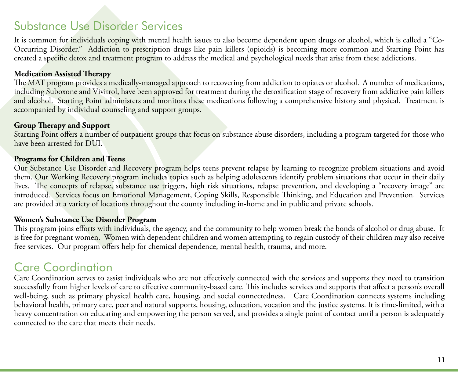## Substance Use Disorder Services

It is common for individuals coping with mental health issues to also become dependent upon drugs or alcohol, which is called a "Co-Occurring Disorder." Addiction to prescription drugs like pain killers (opioids) is becoming more common and Starting Point has created a specific detox and treatment program to address the medical and psychological needs that arise from these addictions.

#### **Medication Assisted Therapy**

The MAT program provides a medically-managed approach to recovering from addiction to opiates or alcohol. A number of medications, including Suboxone and Vivitrol, have been approved for treatment during the detoxification stage of recovery from addictive pain killers and alcohol. Starting Point administers and monitors these medications following a comprehensive history and physical. Treatment is accompanied by individual counseling and support groups.

#### **Group Therapy and Support**

Starting Point offers a number of outpatient groups that focus on substance abuse disorders, including a program targeted for those who have been arrested for DUI.

#### **Programs for Children and Teens**

Our Substance Use Disorder and Recovery program helps teens prevent relapse by learning to recognize problem situations and avoid them. Our Working Recovery program includes topics such as helping adolescents identify problem situations that occur in their daily lives. The concepts of relapse, substance use triggers, high risk situations, relapse prevention, and developing a "recovery image" are introduced. Services focus on Emotional Management, Coping Skills, Responsible Thinking, and Education and Prevention. Services are provided at a variety of locations throughout the county including in-home and in public and private schools.

#### **Women's Substance Use Disorder Program**

This program joins efforts with individuals, the agency, and the community to help women break the bonds of alcohol or drug abuse. It is free for pregnant women. Women with dependent children and women attempting to regain custody of their children may also receive free services. Our program offers help for chemical dependence, mental health, trauma, and more.

## Care Coordination

Care Coordination serves to assist individuals who are not effectively connected with the services and supports they need to transition successfully from higher levels of care to effective community-based care. This includes services and supports that affect a person's overall well-being, such as primary physical health care, housing, and social connectedness. Care Coordination connects systems including behavioral health, primary care, peer and natural supports, housing, education, vocation and the justice systems. It is time-limited, with a heavy concentration on educating and empowering the person served, and provides a single point of contact until a person is adequately connected to the care that meets their needs.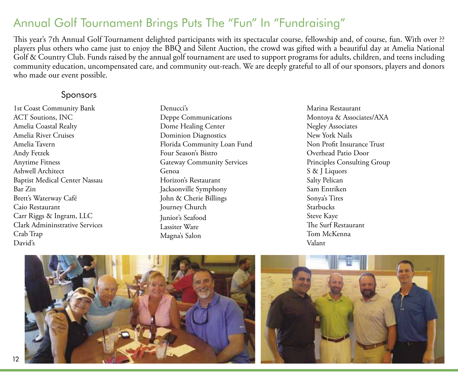## Annual Golf Tournament Brings Puts The "Fun" In "Fundraising"

This year's 7th Annual Golf Tournament delighted participants with its spectacular course, fellowship and, of course, fun. With over ?? players plus others who came just to enjoy the BBQ and Silent Auction, the crowd was gifted with a beautiful day at Amelia National Golf & Country Club. Funds raised by the annual golf tournament are used to support programs for adults, children, and teens including community education, uncompensated care, and community out-reach. We are deeply grateful to all of our sponsors, players and donors who made our event possible.

#### Sponsors

1st Coast Community Bank ACT Soutions, INC Amelia Coastal Realty Amelia River Cruises Amelia Tavern Andy Fetzek Anytime Fitness Ashwell Architect Baptist Medical Center Nassau Bar Zin Brett's Waterway Café Caio Restaurant Carr Riggs & Ingram, LLC Clark Admininstrative Services Crab Trap David's

Denucci's Deppe Communications Dome Healing Center Dominion Diagnostics Florida Community Loan Fund Four Season's Bistro Gateway Community Services Genoa Horizon's Restaurant Jacksonville Symphony John & Cherie Billings Journey Church Junior's Seafood Lassiter Ware Magna's Salon

Marina Restaurant Montoya & Associates/AXA Negley Associates New York Nails Non Profit Insurance Trust Overhead Patio Door Principles Consulting Group S & J Liquors Salty Pelican Sam Entriken Sonya's Tires Starbucks Steve Kaye The Surf Restaurant Tom McKenna Valant



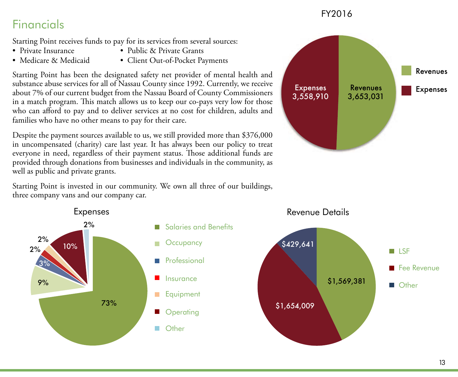#### FY2016

## Financials

Starting Point receives funds to pay for its services from several sources:

- 
- Private Insurance Public & Private Grants
- 
- Medicare & Medicaid Client Out-of-Pocket Payments

Starting Point has been the designated safety net provider of mental health and substance abuse services for all of Nassau County since 1992. Currently, we receive about 7% of our current budget from the Nassau Board of County Commissioners in a match program. This match allows us to keep our co-pays very low for those who can afford to pay and to deliver services at no cost for children, adults and families who have no other means to pay for their care.

Despite the payment sources available to us, we still provided more than \$376,000 in uncompensated (charity) care last year. It has always been our policy to treat everyone in need, regardless of their payment status. Those additional funds are provided through donations from businesses and individuals in the community, as well as public and private grants.

Starting Point is invested in our community. We own all three of our buildings, three company vans and our company car. Starting Point is invested in our commun<br>three company vans and our company car.



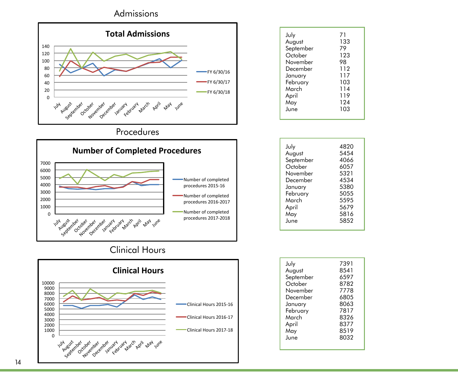

#### Procedures



#### Clinical Hours



| July      | 7391 |
|-----------|------|
| August    | 8541 |
| September | 6597 |
| October   | 8782 |
| November  | 7778 |
| December  | 6805 |
| January   | 8063 |
| February  | 7817 |
| March     | 8326 |
| April     | 8377 |
|           |      |
| May       | 8519 |
| June      | 8032 |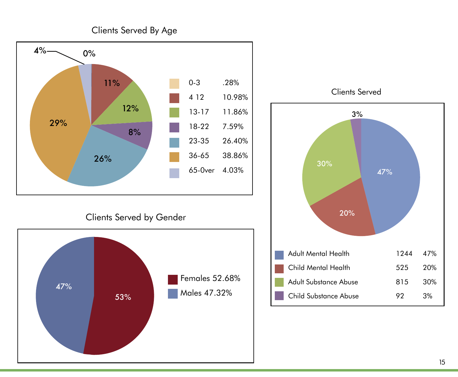



#### Clients Served by Gender



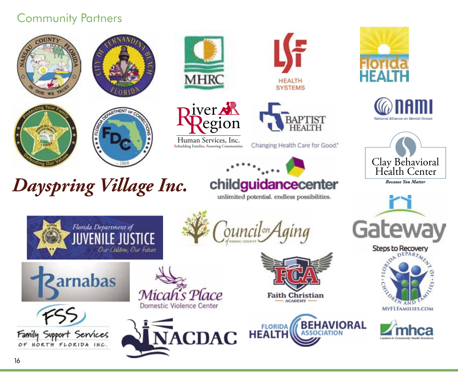## Community Partners

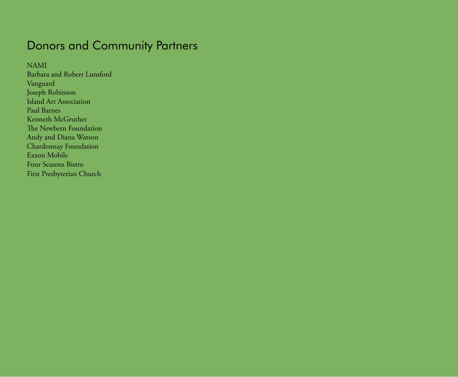## Donors and Community Partners

NAMI

Barbara and Robert Lunsford Vanguard Joseph Robinson Island Art Association Paul Barnes Kenneth McGruther The Newbern Foundation Andy and Diana Watson Chardonnay Foundation Exxon Mobile Four Seasons Bistro First Presbyterian Church